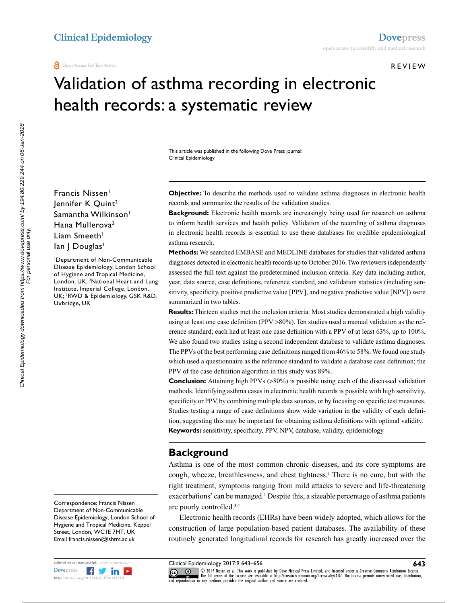#### REVIEW

**643**

# Validation of asthma recording in electronic health records: a systematic review

This article was published in the following Dove Press journal: Clinical Epidemiology

Francis Nissen<sup>1</sup> Jennifer K Quint<sup>2</sup> Samantha Wilkinson<sup>1</sup> Hana Mullerova3 Liam  $S$ meeth<sup>1</sup> lan | Douglas<sup>1</sup>

1 Department of Non-Communicable Disease Epidemiology, London School of Hygiene and Tropical Medicine, London, UK; <sup>2</sup>National Heart and Lung Institute, Imperial College, London, UK; 3 RWD & Epidemiology, GSK R&D, Uxbridge, UK

Correspondence: Francis Nissen Department of Non-Communicable Disease Epidemiology, London School of Hygiene and Tropical Medicine, Keppel Street, London, WC1E 7HT, UK Email [francis.nissen@lshtm.ac.uk](mailto:francis.nissen@lshtm.ac.uk)



**Objective:** To describe the methods used to validate asthma diagnoses in electronic health records and summarize the results of the validation studies.

**Background:** Electronic health records are increasingly being used for research on asthma to inform health services and health policy. Validation of the recording of asthma diagnoses in electronic health records is essential to use these databases for credible epidemiological asthma research.

**Methods:** We searched EMBASE and MEDLINE databases for studies that validated asthma diagnoses detected in electronic health records up to October 2016. Two reviewers independently assessed the full text against the predetermined inclusion criteria. Key data including author, year, data source, case definitions, reference standard, and validation statistics (including sensitivity, specificity, positive predictive value [PPV], and negative predictive value [NPV]) were summarized in two tables.

**Results:** Thirteen studies met the inclusion criteria. Most studies demonstrated a high validity using at least one case definition (PPV >80%). Ten studies used a manual validation as the reference standard; each had at least one case definition with a PPV of at least 63%, up to 100%. We also found two studies using a second independent database to validate asthma diagnoses. The PPVs of the best performing case definitions ranged from 46% to 58%. We found one study which used a questionnaire as the reference standard to validate a database case definition; the PPV of the case definition algorithm in this study was 89%.

**Conclusion:** Attaining high PPVs (>80%) is possible using each of the discussed validation methods. Identifying asthma cases in electronic health records is possible with high sensitivity, specificity or PPV, by combining multiple data sources, or by focusing on specific test measures. Studies testing a range of case definitions show wide variation in the validity of each definition, suggesting this may be important for obtaining asthma definitions with optimal validity. **Keywords:** sensitivity, specificity, PPV, NPV, database, validity, epidemiology

#### **Background**

Asthma is one of the most common chronic diseases, and its core symptoms are cough, wheeze, breathlessness, and chest tightness.<sup>1</sup> There is no cure, but with the right treatment, symptoms ranging from mild attacks to severe and life-threatening exacerbations<sup>2</sup> can be managed.<sup>1</sup> Despite this, a sizeable percentage of asthma patients are poorly controlled.3,4

Electronic health records (EHRs) have been widely adopted, which allows for the construction of large population-based patient databases. The availability of these routinely generated longitudinal records for research has greatly increased over the

Clinical Epidemiology 2017:9 643–656

**CO** 2017 Nissen et al. This work is published by Dove Medical Press Limited, and licensed under a Creative Commons Attribution License.<br>and reproduction in The full terms of the License are available at http://creative.co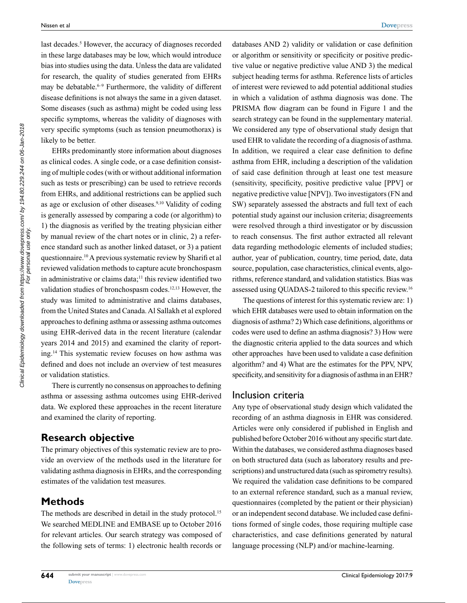last decades.<sup>5</sup> However, the accuracy of diagnoses recorded in these large databases may be low, which would introduce bias into studies using the data. Unless the data are validated for research, the quality of studies generated from EHRs may be debatable. $6-9$  Furthermore, the validity of different disease definitions is not always the same in a given dataset. Some diseases (such as asthma) might be coded using less specific symptoms, whereas the validity of diagnoses with very specific symptoms (such as tension pneumothorax) is likely to be better.

EHRs predominantly store information about diagnoses as clinical codes. A single code, or a case definition consisting of multiple codes (with or without additional information such as tests or prescribing) can be used to retrieve records from EHRs, and additional restrictions can be applied such as age or exclusion of other diseases.<sup>9,10</sup> Validity of coding is generally assessed by comparing a code (or algorithm) to 1) the diagnosis as verified by the treating physician either by manual review of the chart notes or in clinic, 2) a reference standard such as another linked dataset, or 3) a patient questionnaire.10 A previous systematic review by Sharifi et al reviewed validation methods to capture acute bronchospasm in administrative or claims data;<sup>11</sup> this review identified two validation studies of bronchospasm codes.<sup>12,13</sup> However, the study was limited to administrative and claims databases, from the United States and Canada. Al Sallakh et al explored approaches to defining asthma or assessing asthma outcomes using EHR-derived data in the recent literature (calendar years 2014 and 2015) and examined the clarity of reporting.14 This systematic review focuses on how asthma was defined and does not include an overview of test measures or validation statistics.

There is currently no consensus on approaches to defining asthma or assessing asthma outcomes using EHR-derived data. We explored these approaches in the recent literature and examined the clarity of reporting.

#### **Research objective**

The primary objectives of this systematic review are to provide an overview of the methods used in the literature for validating asthma diagnosis in EHRs, and the corresponding estimates of the validation test measures.

#### **Methods**

The methods are described in detail in the study protocol.<sup>15</sup> We searched MEDLINE and EMBASE up to October 2016 for relevant articles. Our search strategy was composed of the following sets of terms: 1) electronic health records or

databases AND 2) validity or validation or case definition or algorithm or sensitivity or specificity or positive predictive value or negative predictive value AND 3) the medical subject heading terms for asthma. Reference lists of articles of interest were reviewed to add potential additional studies in which a validation of asthma diagnosis was done. The PRISMA flow diagram can be found in Figure 1 and the search strategy can be found in the supplementary material. We considered any type of observational study design that used EHR to validate the recording of a diagnosis of asthma. In addition, we required a clear case definition to define asthma from EHR, including a description of the validation of said case definition through at least one test measure (sensitivity, specificity, positive predictive value [PPV] or negative predictive value [NPV]). Two investigators (FN and SW) separately assessed the abstracts and full text of each potential study against our inclusion criteria; disagreements were resolved through a third investigator or by discussion to reach consensus. The first author extracted all relevant data regarding methodologic elements of included studies; author, year of publication, country, time period, date, data source, population, case characteristics, clinical events, algorithms, reference standard, and validation statistics. Bias was assessed using QUADAS-2 tailored to this specific review.16

The questions of interest for this systematic review are: 1) which EHR databases were used to obtain information on the diagnosis of asthma? 2) Which case definitions, algorithms or codes were used to define an asthma diagnosis? 3) How were the diagnostic criteria applied to the data sources and which other approaches have been used to validate a case definition algorithm? and 4) What are the estimates for the PPV, NPV, specificity, and sensitivity for a diagnosis of asthma in an EHR?

#### Inclusion criteria

Any type of observational study design which validated the recording of an asthma diagnosis in EHR was considered. Articles were only considered if published in English and published before October 2016 without any specific start date. Within the databases, we considered asthma diagnoses based on both structured data (such as laboratory results and prescriptions) and unstructured data (such as spirometry results). We required the validation case definitions to be compared to an external reference standard, such as a manual review, questionnaires (completed by the patient or their physician) or an independent second database. We included case definitions formed of single codes, those requiring multiple case characteristics, and case definitions generated by natural language processing (NLP) and/or machine-learning.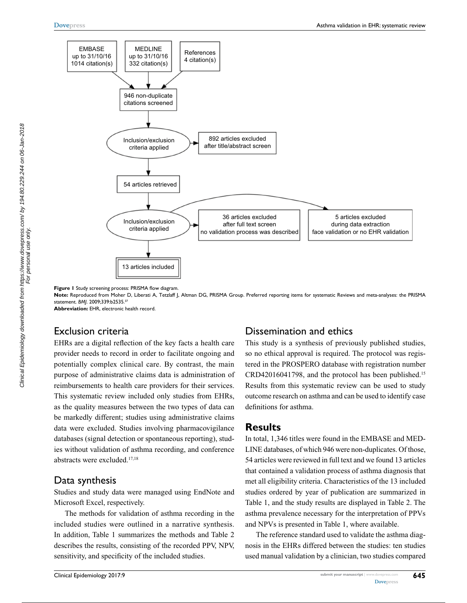

**Figure 1** Study screening process: PRISMA flow diagram.

**Note:** Reproduced from Moher D, Liberati A, Tetzlaff J, Altman DG, PRISMA Group. Preferred reporting items for systematic Reviews and meta-analyses: the PRISMA statement. *BMJ*. 2009;339:b2535.37

**Abbreviation:** EHR, electronic health record.

#### Exclusion criteria

EHRs are a digital reflection of the key facts a health care provider needs to record in order to facilitate ongoing and potentially complex clinical care. By contrast, the main purpose of administrative claims data is administration of reimbursements to health care providers for their services. This systematic review included only studies from EHRs, as the quality measures between the two types of data can be markedly different; studies using administrative claims data were excluded. Studies involving pharmacovigilance databases (signal detection or spontaneous reporting), studies without validation of asthma recording, and conference abstracts were excluded.17,18

#### Data synthesis

Studies and study data were managed using EndNote and Microsoft Excel, respectively.

The methods for validation of asthma recording in the included studies were outlined in a narrative synthesis. In addition, Table 1 summarizes the methods and Table 2 describes the results, consisting of the recorded PPV, NPV, sensitivity, and specificity of the included studies.

#### Dissemination and ethics

This study is a synthesis of previously published studies, so no ethical approval is required. The protocol was registered in the PROSPERO database with registration number CRD42016041798, and the protocol has been published.15 Results from this systematic review can be used to study outcome research on asthma and can be used to identify case definitions for asthma.

#### **Results**

In total, 1,346 titles were found in the EMBASE and MED-LINE databases, of which 946 were non-duplicates. Of those, 54 articles were reviewed in full text and we found 13 articles that contained a validation process of asthma diagnosis that met all eligibility criteria. Characteristics of the 13 included studies ordered by year of publication are summarized in Table 1, and the study results are displayed in Table 2. The asthma prevalence necessary for the interpretation of PPVs and NPVs is presented in Table 1, where available.

The reference standard used to validate the asthma diagnosis in the EHRs differed between the studies: ten studies used manual validation by a clinician, two studies compared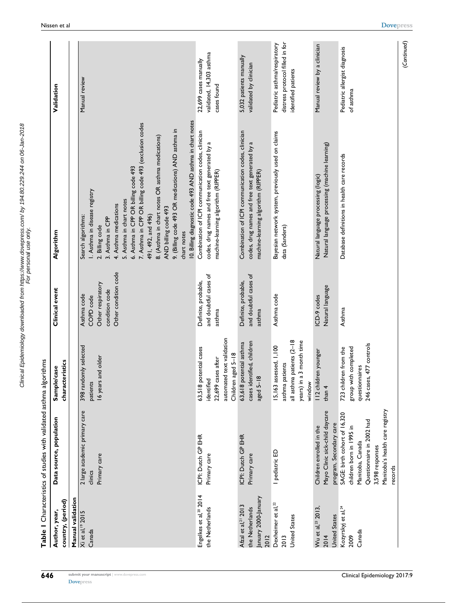| country, (period)<br>Author, year,                                                | Data source, population                                                                                                                                                    | characteristics<br><b>Sample/case</b>                                                                            | Clinical event                                                                          | Algorithm                                                                                                                                                                                                                                                                                                                                                                                                                                                                            | Validation                                                                             |
|-----------------------------------------------------------------------------------|----------------------------------------------------------------------------------------------------------------------------------------------------------------------------|------------------------------------------------------------------------------------------------------------------|-----------------------------------------------------------------------------------------|--------------------------------------------------------------------------------------------------------------------------------------------------------------------------------------------------------------------------------------------------------------------------------------------------------------------------------------------------------------------------------------------------------------------------------------------------------------------------------------|----------------------------------------------------------------------------------------|
| Manual validation                                                                 |                                                                                                                                                                            |                                                                                                                  |                                                                                         |                                                                                                                                                                                                                                                                                                                                                                                                                                                                                      |                                                                                        |
| Xi et al, <sup>19</sup> 2015<br>Canada                                            | 2 large academic primary care<br>Primary care<br>clinics                                                                                                                   | 398 randomly selected<br>16 years and older<br>patients                                                          | Other condition code<br>Other respiratory<br>condition code<br>Asthma code<br>COPD code | 10. Billing diagnostic code 493 AND asthma in chart notes<br>7. Asthma in CPP OR billing code 493 (exclusion codes<br>9. (Billing code 493 OR medications) AND asthma in<br>8. (Asthma in chart notes OR asthma medications)<br>6. Asthma in CPP OR billing code 493<br>I. Asthma in disease registry<br>5. Asthma in chart notes<br>4. Asthma medications<br>AND billing code 493<br>491, 492, and 496)<br>Search algorithms:<br>3. Asthma in CPP<br>2. Billing code<br>chart notes | Manual review                                                                          |
| Engelkes et al, <sup>20</sup> 2014<br>the Netherlands                             | ICPI: Dutch GP EHR<br>Primary care                                                                                                                                         | automated text validation<br>potential cases<br>Children aged 5-18<br>22,699 cases after<br>identified<br>63,518 | and doubtful cases of<br>Definite, probable,<br>asthma                                  | Combination of ICPI communication codes, clinician<br>codes, drug names and free text generated by a<br>machine-learning algorithm (RIPPER)                                                                                                                                                                                                                                                                                                                                          | validated, 14,303 asthma<br>22,699 cases manually<br>cases found                       |
| anuary 2000-January<br>Afzal et al, <sup>21</sup> 2013<br>the Netherlands<br>2012 | ICPI: Dutch GP EHR<br>Primary care                                                                                                                                         | cases identified, children<br>potential asthma<br>aged 5-18<br>63,618                                            | and doubtful cases of<br>Definite, probable,<br>asthma                                  | Combination of ICPI communication codes, clinician<br>codes, drug names and free text generated by a<br>machine-learning algorithm (RIPPER)                                                                                                                                                                                                                                                                                                                                          | 5,032 patients manually<br>validated by clinician                                      |
| Dexheimer et al, <sup>22</sup><br><b>United States</b><br>2013                    | I pediatric ED                                                                                                                                                             | all asthma patients (2-18<br>years) in a 3 month time<br>assessed, 1,100<br>asthma patients<br>window<br>15,163  | Asthma code                                                                             | Bayesian network system, previously used on claims<br>data (Sanders)                                                                                                                                                                                                                                                                                                                                                                                                                 | distress protocol filled in for<br>Pediatric asthma/respiratory<br>identified patients |
| Wu et al, <sup>23</sup> 2013,<br><b>United States</b><br>2014                     | Mayo Clinic sick-child daycare<br>program, Secondary care<br>Children enrolled in the                                                                                      | 112 children younger<br>than $4$                                                                                 | Natural language<br>ICD-9 codes                                                         | Natural language processing (machine learning)<br>Natural language processing (logic)                                                                                                                                                                                                                                                                                                                                                                                                | Manual review by a clinician                                                           |
| Kozyrskyj et al, <sup>24</sup><br>Canada<br>2009                                  | Manitoba's health care registry<br>SAGE: birth cohort of 16,320<br>Questionnaire in 2002 had<br>children born in 1995 in<br>Manitoba, Canada<br>3,598 responses<br>records | 246 cases, 477 controls<br>group with completed<br>723 children from the<br>questionnaires                       | Asthma                                                                                  | Database definitions in health care records                                                                                                                                                                                                                                                                                                                                                                                                                                          | Pediatric allergist diagnosis<br>of asthma                                             |

**[Dovepress](www.dovepress.com)**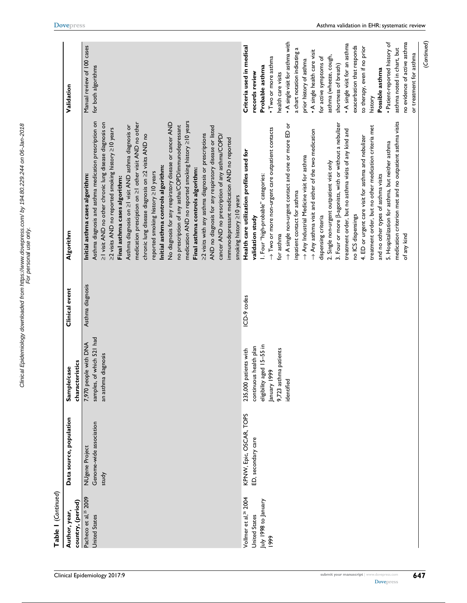Table I (Continued) **Table 1** (*Continued*)

| Author, year,                                                                                  | Data source, population                                                       | Sample/case                                                                                                 | Clinical event                  | Algorithm                                                                                                                                                                                                                                                                                                                                                                                                                                                                                                                                                                                                                                                                                                                                                                                                                                                                                                                                                                                                      | Validation                                                                                                                                                                                                                                                                                                                                                                                                                                                                                                                                          |
|------------------------------------------------------------------------------------------------|-------------------------------------------------------------------------------|-------------------------------------------------------------------------------------------------------------|---------------------------------|----------------------------------------------------------------------------------------------------------------------------------------------------------------------------------------------------------------------------------------------------------------------------------------------------------------------------------------------------------------------------------------------------------------------------------------------------------------------------------------------------------------------------------------------------------------------------------------------------------------------------------------------------------------------------------------------------------------------------------------------------------------------------------------------------------------------------------------------------------------------------------------------------------------------------------------------------------------------------------------------------------------|-----------------------------------------------------------------------------------------------------------------------------------------------------------------------------------------------------------------------------------------------------------------------------------------------------------------------------------------------------------------------------------------------------------------------------------------------------------------------------------------------------------------------------------------------------|
| country, (period)                                                                              |                                                                               | characteristics                                                                                             |                                 |                                                                                                                                                                                                                                                                                                                                                                                                                                                                                                                                                                                                                                                                                                                                                                                                                                                                                                                                                                                                                |                                                                                                                                                                                                                                                                                                                                                                                                                                                                                                                                                     |
| Pacheco et al, <sup>25</sup> 2009<br>Vollmer et al, <sup>26</sup> 2004<br><b>United States</b> | KPNW, Epic, OSCAR, TOPS<br>Genome-wide association<br>NUgene Project<br>study | f which 521 had<br>7,970 people with DNA<br>235,000 patients with<br>an asthma diagnosis<br>samples, of     | Asthma diagnosis<br>ICD-9 codes | medication AND no reported smoking history 210 years<br>Asthma diagnosis and asthma medication prescription on<br>≥I visit AND no other chronic lung disease diagnosis on<br>No diagnosis for any respiratory disease or cancer AND<br>medication presciption on 21 other visit AND no other<br>no prescription of any astha/COPD/immunodepressant<br>AND no diagnosis for any respiratory disease or listed<br>Asthma diagnosis on ≥l visit AND asthma diagnosis or<br>≥2 visits AND no reported smoking history ≥10 years<br>22 visits with any asthma diagnosis or prescriptions<br>chronic lung disease diagnosis on 22 visits AND no<br>cancer AND no prescription of any asthma/COPD/<br>immunodepressant medication AND no reported<br>Health care utilization profiles used for<br>Initial asthma controls algorithm:<br>Final asthma controls algorithm:<br>reported smoking history 210 years<br>Initial asthma cases algorithm:<br>Final asthma cases algorithm:<br>smoking history $\geq$ 10 years | Criteria used in medical<br>Manual review of 100 cases<br>for both algorithms                                                                                                                                                                                                                                                                                                                                                                                                                                                                       |
| ynulary 1998 to January<br><b>United States</b><br>1999                                        | ED, secondary care                                                            | eligibility aged 15-55 in<br>continuous health plan<br>9,723 asthma patients<br>1999   Papara<br>identified |                                 | medication criterion met and no outpatient asthma visits<br>3. Four or more $\beta$ -agonists, with or without a nebulizer<br>$\rightarrow$ A single non-urgent contact and one or more ED or<br>treatment order, but no other medication criteria met<br>$\rightarrow$ Two or more non-urgent care outpatient contacts<br>treatment order, but no asthma visits of any kind and<br>$\rightarrow$ Any asthma visit and either of the two medication<br>4. ED or urgent care visit for asthma and nebulizer<br>5. Hospitalization for asthma, but neither asthma<br>$\rightarrow$ Any Industrial Medicine visit for asthma<br>2. Single non-urgent outpatient visit only<br>I. Four "high-probable" categories:<br>and no other types of asthma visits<br>inpatient contact for asthma<br>no ICS dispensings<br>validation study<br>dispensing criteria<br>for asthma<br>of any kind                                                                                                                            | • A single visit for asthma with<br>no evidence of active asthma<br>· Patient-reported history of<br>• A single visit for an asthma<br>exacerbation that responds<br>to therapy, even if no prior<br>asthma noted in chart, but<br>a chart notation indicating a<br>. A single health care visit<br>or treatment for asthma<br>asthma (wheeze, cough,<br>for active symptoms of<br>• Two or more asthma<br>prior history of asthma<br>shortness of breath)<br>Probable asthma<br>Possible asthma<br>records review<br>health care visits<br>history |

(*Continued*)

**647**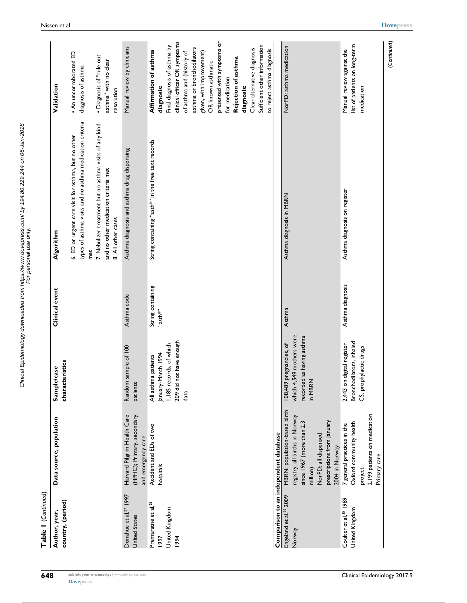| ֚֕֡֡ |  |  |  |
|------|--|--|--|
|      |  |  |  |
|      |  |  |  |
|      |  |  |  |
|      |  |  |  |
|      |  |  |  |
|      |  |  |  |
|      |  |  |  |
|      |  |  |  |
|      |  |  |  |
|      |  |  |  |
|      |  |  |  |
|      |  |  |  |
|      |  |  |  |
|      |  |  |  |
|      |  |  |  |
|      |  |  |  |
|      |  |  |  |
|      |  |  |  |
|      |  |  |  |
|      |  |  |  |
|      |  |  |  |
|      |  |  |  |
|      |  |  |  |
|      |  |  |  |
|      |  |  |  |
|      |  |  |  |
|      |  |  |  |
|      |  |  |  |
|      |  |  |  |
|      |  |  |  |
|      |  |  |  |
|      |  |  |  |
|      |  |  |  |
|      |  |  |  |
|      |  |  |  |
|      |  |  |  |
|      |  |  |  |
|      |  |  |  |
|      |  |  |  |
|      |  |  |  |
|      |  |  |  |
|      |  |  |  |
|      |  |  |  |
|      |  |  |  |
|      |  |  |  |
|      |  |  |  |
|      |  |  |  |
|      |  |  |  |
|      |  |  |  |
|      |  |  |  |

| submit your manuscript   www.dovepress.com |  |
|--------------------------------------------|--|
|--------------------------------------------|--|

| Table I (Continued)                                               |                                                                                                                                                                                                                          |                                                                                                          |                              |                                                                                                                                                                                                                                                 |                                                                                                                                                                                                                                                                                                                                                                                                   |
|-------------------------------------------------------------------|--------------------------------------------------------------------------------------------------------------------------------------------------------------------------------------------------------------------------|----------------------------------------------------------------------------------------------------------|------------------------------|-------------------------------------------------------------------------------------------------------------------------------------------------------------------------------------------------------------------------------------------------|---------------------------------------------------------------------------------------------------------------------------------------------------------------------------------------------------------------------------------------------------------------------------------------------------------------------------------------------------------------------------------------------------|
| country, (period)<br>Author, year                                 | Data source, population                                                                                                                                                                                                  | characteristics<br>Sample/case                                                                           | Clinical event               | Algorithm                                                                                                                                                                                                                                       | Validation                                                                                                                                                                                                                                                                                                                                                                                        |
|                                                                   |                                                                                                                                                                                                                          |                                                                                                          |                              | types of asthma visits and no asthma medication criteria<br>7. Nebulizer treatment but no asthma visits of any kind<br>6. ED or urgent care visit for asthma, but no other<br>and no other medication criteria met<br>8. All other cases<br>met | . An uncorroborated ED<br>. Diagnosis of "rule out<br>asthma" with no clear<br>diagnosis of asthma<br>resolution                                                                                                                                                                                                                                                                                  |
| Donahue et al, <sup>27</sup> 1997<br><b>United States</b>         | Harvard Pilgrim Health Care<br>(HPHC); Primary, secondary<br>and emergency care                                                                                                                                          | Random sample of 100<br>patients                                                                         | Asthma code                  | Asthma diagnosis and asthma drug dispensing                                                                                                                                                                                                     | Manual review by clinicians                                                                                                                                                                                                                                                                                                                                                                       |
| Premaratne et al, <sup>28</sup><br>United Kingdom<br>1997<br>1994 | Accident and EDs of two<br>hospitals                                                                                                                                                                                     | 209 did not have enough<br>I, 185 records, of which<br>January-March 1994<br>All asthma patients<br>data | String containing<br>"asth*" | String containing "asth*" in the free text records                                                                                                                                                                                              | clinical officer OR symptoms<br>presented with symptoms or<br>Sufficient other information<br>Final diagnosis of asthma by<br>asthma or bronchodilators<br>Clear alternative diagnosis<br>to reject asthma diagnosis<br>Affirmation of asthma<br>given, with improvement)<br>of asthma and (history of<br>Rejection of asthma<br>OR known asthmatic<br>for medication<br>diagnosis:<br>diagnosis: |
| Engeland et al, <sup>29</sup> 2009<br>Norway                      | MBRN: population-based birth<br>registry, all births in Norway<br>prescriptions from January<br>since 1967 (more than 2.3<br>Comparison to an independent database<br>NorPD: all dispensed<br>2004 in Norway<br>million) | which 4,549 mothers were<br>recorded as having asthma<br>108,489 pregnancies, of<br>in MBRN              | Asthma                       | Asthma diagnosis in MBRN                                                                                                                                                                                                                        | NorPD: asthma medication                                                                                                                                                                                                                                                                                                                                                                          |
| Coulter et al, <sup>30</sup> 1989<br>United Kingdom               | 2,199 patients on medication<br>Oxford community health<br>7 general practices in the<br>Primary care<br>project                                                                                                         | lilators, inhaled<br>digital register<br>CS, prophylactic drugs<br>Bronchod<br>2,443 on                  | Asthma diagnosis             | Asthma diagnosis on register                                                                                                                                                                                                                    | list of patients on long-term<br>Manual review against the<br>medication                                                                                                                                                                                                                                                                                                                          |

Clinical Epidemiology 2017:9

(*Continued*)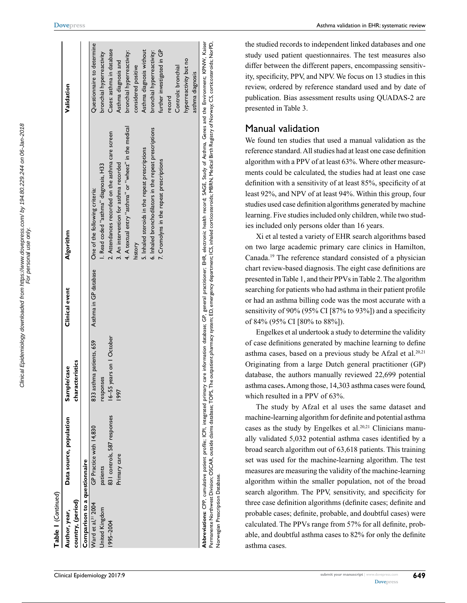| Table I (Continued)            |                             |                                 |                       |                                                                                                                                                                                                      |                            |
|--------------------------------|-----------------------------|---------------------------------|-----------------------|------------------------------------------------------------------------------------------------------------------------------------------------------------------------------------------------------|----------------------------|
| Author, year,                  | Data source, population     | Sample/case                     | Clinical event        | Algorithm                                                                                                                                                                                            | Validation                 |
| country, (period)              |                             | characteristics                 |                       |                                                                                                                                                                                                      |                            |
| Comparison to a questionnaire  |                             |                                 |                       |                                                                                                                                                                                                      |                            |
| Ward et al, <sup>31</sup> 2004 | GP Practice with 14,830     | 833 asthma patients, 659        | Asthma in GP database | One of the following criteria:                                                                                                                                                                       | Questionnaire to determine |
| <b>United Kingdom</b>          | patients                    | responses                       |                       | . Read coded "asthma" diagnosis, H33                                                                                                                                                                 | bronchial hyperreactivity  |
| 1995-2004                      | 831 controls, 587 responses | years on   October<br>$16 - 55$ |                       | 2. Attendances recorded on the asthma care screen                                                                                                                                                    | Cases: asthma in database  |
|                                | Primary care                | 997                             |                       | 3. An intervention for asthma recorded                                                                                                                                                               | Asthma diagnosis and       |
|                                |                             |                                 |                       | 4. A textual entry "asthma" or "wheez" in the medical                                                                                                                                                | bronchial hyperreactivity: |
|                                |                             |                                 |                       | history                                                                                                                                                                                              | considered positive        |
|                                |                             |                                 |                       | 5. Inhaled steroids in the repeat prescriptions                                                                                                                                                      | Asthma diagnosis without   |
|                                |                             |                                 |                       | 6. Inhaled bronchodilators in the repeat prescriptions                                                                                                                                               | bronchial hyperreactivity: |
|                                |                             |                                 |                       | 7. Cromolyns in the repeat prescriptions                                                                                                                                                             | further investigated in GP |
|                                |                             |                                 |                       |                                                                                                                                                                                                      | record                     |
|                                |                             |                                 |                       |                                                                                                                                                                                                      | Controls: bronchial        |
|                                |                             |                                 |                       |                                                                                                                                                                                                      | hyperreactivity but no     |
|                                |                             |                                 |                       |                                                                                                                                                                                                      | asthma diagnosis           |
|                                |                             |                                 |                       | Abbreviations: CPP, cumulative patient profile: ICPI, integrated primary care information details accepted the profile integration in the condity of Asthma, Genes and the Environment: KPNW. Kaiser |                            |

Abbreviations: CPP, cumulative patient profile; ICPI, integrated primary care information database; GP, general practitioner; EHR, electronic health record; SAGE, Sudy of Asthma, Genes and the Environment; KPNW, Kaiser<br>Per Abbreviations: CPP, cumulative patient profile; ICPI, integrated primary care information database; GP, general practitioner; EHR, electronic health record; SAGE, Study of Asthma, Genes and the Environment; KPNW, Kaiser Permanente Northwest Division; OSCAR, outside claims database; TOPS, The outpatient pharmacy system; ED, emergency department; ICS, inhaled corticosteroids; MBRN, Medical Birth Registry of Norway; CS, corticosteroids; NorPD, Norwegian Prescription Database.

# Manual validation

We found ten studies that used a manual validation as the reference standard. All studies had at least one case definition algorithm with a PPV of at least 63%. Where other measurements could be calculated, the studies had at least one case definition with a sensitivity of at least 85%, specificity of at least 92%, and NPV of at least 94%. Within this group, four studies used case definition algorithms generated by machine learning. Five studies included only children, while two studies included only persons older than 16 years.

Xi et al tested a variety of EHR search algorithms based on two large academic primary care clinics in Hamilton, Canada.19 The reference standard consisted of a physician chart review-based diagnosis. The eight case definitions are presented in Table 1, and their PPVs in Table 2. The algorithm searching for patients who had asthma in their patient profile or had an asthma billing code was the most accurate with a sensitivity of 90% (95% CI [87% to 93%]) and a specificity of 84% (95% CI [80% to 88%]).

Engelkes et al undertook a study to determine the validity of case definitions generated by machine learning to define asthma cases, based on a previous study be Afzal et al.<sup>20,21</sup> Originating from a large Dutch general practitioner (GP) database, the authors manually reviewed 22,699 potential asthma cases**.** Among those, 14,303 asthma cases were found, which resulted in a PPV of 63%.

The study by Afzal et al uses the same dataset and machine-learning algorithm for definite and potential asthma cases as the study by Engelkes et al.<sup>20,21</sup> Clinicians manually validated 5,032 potential asthma cases identified by a broad search algorithm out of 63,618 patients. This training set was used for the machine-learning algorithm. The test measures are measuring the validity of the machine-learning algorithm within the smaller population, not of the broad search algorithm. The PPV, sensitivity, and specificity for three case definition algorithms (definite cases; definite and probable cases; definite, probable, and doubtful cases) were calculated. The PPVs range from 57% for all definite, probable, and doubtful asthma cases to 82% for only the definite asthma cases.

Clinical Epidemiology downloaded from https://www.dovepress.com/ by 194.80.229.244 on 06-Jan-2018 For personal use only.

Clinical Epidemiology downloaded from https://www.dovepress.com/ by 194.80.229.244 on 06-Jan-2018 For personal use only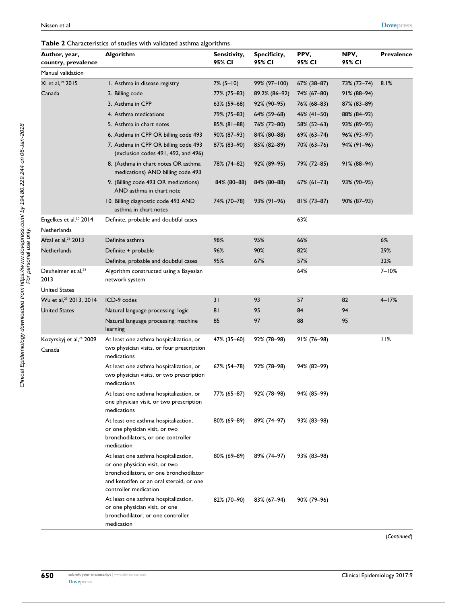#### **Table 2** Characteristics of studies with validated asthma algorithms

| Author, year,<br>country, prevalence                           | Algorithm                                                                                                                                                                             | Sensitivity,<br>95% CI | Specificity,<br>95% CI | PPV,<br>95% CI   | NPV,<br>95% CI   | <b>Prevalence</b> |
|----------------------------------------------------------------|---------------------------------------------------------------------------------------------------------------------------------------------------------------------------------------|------------------------|------------------------|------------------|------------------|-------------------|
| Manual validation                                              |                                                                                                                                                                                       |                        |                        |                  |                  |                   |
| Xi et al, <sup>19</sup> 2015                                   | I. Asthma in disease registry                                                                                                                                                         | $7\%$ (5-10)           | 99% (97-100)           | 67% (38-87)      | 73% (72-74)      | 8.1%              |
| Canada                                                         | 2. Billing code                                                                                                                                                                       | 77% (75-83)            | 89.2% (86-92)          | 74% (67-80)      | 91% (88-94)      |                   |
|                                                                | 3. Asthma in CPP                                                                                                                                                                      | 63% (59-68)            | 92% (90-95)            | 76% (68-83)      | 87% (83-89)      |                   |
|                                                                | 4. Asthma medications                                                                                                                                                                 | 79% (75-83)            | 64% (59-68)            | $46\%$ (41-50)   | 88% (84-92)      |                   |
|                                                                | 5. Asthma in chart notes                                                                                                                                                              | 85% (81-88)            | 76% (72-80)            | 58% (52-63)      | 93% (89-95)      |                   |
|                                                                | 6. Asthma in CPP OR billing code 493                                                                                                                                                  | 90% (87-93)            | 84% (80-88)            | 69% (63-74)      | 96% (93-97)      |                   |
|                                                                | 7. Asthma in CPP OR billing code 493<br>(exclusion codes 491, 492, and 496)                                                                                                           | 87% (83-90)            | 85% (82-89)            | 70% (63-76)      | 94% (91-96)      |                   |
|                                                                | 8. (Asthma in chart notes OR asthma<br>medications) AND billing code 493                                                                                                              | 78% (74–82)            | $92\%$ (89–95)         | 79% (72–85)      | $91\% (88 - 94)$ |                   |
|                                                                | 9. (Billing code 493 OR medications)<br>AND asthma in chart note                                                                                                                      | 84% (80-88)            | 84% (80–88)            | $67\%$ (61–73)   | 93% (90-95)      |                   |
|                                                                | 10. Billing diagnostic code 493 AND<br>asthma in chart notes                                                                                                                          | 74% (70-78)            | $93\%$ (91-96)         | $81\% (73 - 87)$ | 90% (87-93)      |                   |
| Engelkes et al, <sup>20</sup> 2014<br>Netherlands              | Definite, probable and doubtful cases                                                                                                                                                 |                        |                        | 63%              |                  |                   |
| Afzal et al, <sup>21</sup> 2013                                | Definite asthma                                                                                                                                                                       | 98%                    | 95%                    | 66%              |                  | 6%                |
| Netherlands                                                    | Definite + probable                                                                                                                                                                   | 96%                    | 90%                    | 82%              |                  | 29%               |
|                                                                | Definite, probable and doubtful cases                                                                                                                                                 | 95%                    | 67%                    | 57%              |                  | 32%               |
| Dexheimer et al, <sup>22</sup><br>2013<br><b>United States</b> | Algorithm constructed using a Bayesian<br>network system                                                                                                                              |                        |                        | 64%              |                  | $7 - 10%$         |
| Wu et al, <sup>23</sup> 2013, 2014                             | ICD-9 codes                                                                                                                                                                           | 31                     | 93                     | 57               | 82               | $4 - 17%$         |
| <b>United States</b>                                           | Natural language processing: logic                                                                                                                                                    | 81                     | 95                     | 84               | 94               |                   |
|                                                                | Natural language processing: machine<br>learning                                                                                                                                      | 85                     | 97                     | 88               | 95               |                   |
| Kozyrskyj et al, <sup>24</sup> 2009<br>Canada                  | At least one asthma hospitalization, or<br>two physician visits, or four prescription<br>medications                                                                                  | 47% (35-60)            | 92% (78-98)            | 91% (76-98)      |                  | 11%               |
|                                                                | At least one asthma hospitalization, or<br>two physician visits, or two prescription<br>medications                                                                                   | 67% (54-78)            | 92% (78-98)            | 94% (82-99)      |                  |                   |
|                                                                | At least one asthma hospitalization, or<br>one physician visit, or two prescription<br>medications                                                                                    | 77% (65–87)            | 92% (78-98)            | 94% (85-99)      |                  |                   |
|                                                                | At least one asthma hospitalization,<br>or one physician visit, or two<br>bronchodilators, or one controller<br>medication                                                            | 80% (69-89)            | 89% (74-97)            | 93% (83-98)      |                  |                   |
|                                                                | At least one asthma hospitalization,<br>or one physician visit, or two<br>bronchodilators, or one bronchodilator<br>and ketotifen or an oral steroid, or one<br>controller medication | 80% (69-89)            | 89% (74–97)            | 93% (83–98)      |                  |                   |
|                                                                | At least one asthma hospitalization,<br>or one physician visit, or one<br>bronchodilator, or one controller<br>medication                                                             | 82% (70-90)            | 83% (67–94)            | 90% (79–96)      |                  |                   |

(*Continued*)

Clinical Epidemiology downloaded from https://www.dovepress.com/ by 194.80.229.244 on 06-Jan-2018<br>For personal use only. Clinical Epidemiology downloaded from https://www.dovepress.com/ by 194.80.229.244 on 06-Jan-2018 For personal use only.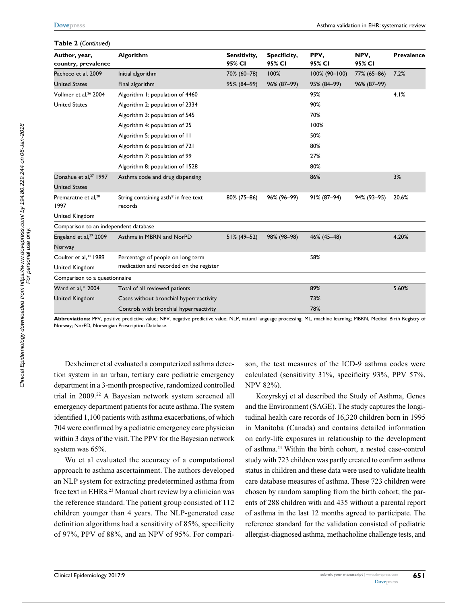**Table 2** (*Continued*)

| Author, year,<br>country, prevalence    | <b>Algorithm</b>                                | Sensitivity,<br>95% CI | Specificity,<br>95% CI | PPV.<br>95% CI   | NPV.<br>95% CI | <b>Prevalence</b> |
|-----------------------------------------|-------------------------------------------------|------------------------|------------------------|------------------|----------------|-------------------|
| Pacheco et al, 2009                     | Initial algorithm                               | 70% (60-78)            | 100%                   | $100\%$ (90-100) | 77% (65-86)    | 7.2%              |
| <b>United States</b>                    | Final algorithm                                 | 95% (84-99)            | 96% (87-99)            | 95% (84-99)      | 96% (87-99)    |                   |
| Vollmer et al, <sup>26</sup> 2004       | Algorithm 1: population of 4460                 |                        |                        | 95%              |                | 4.1%              |
| <b>United States</b>                    | Algorithm 2: population of 2334                 |                        |                        | 90%              |                |                   |
|                                         | Algorithm 3: population of 545                  |                        |                        | 70%              |                |                   |
|                                         | Algorithm 4: population of 25                   |                        |                        | 100%             |                |                   |
|                                         | Algorithm 5: population of 11                   |                        |                        | 50%              |                |                   |
|                                         | Algorithm 6: population of 721                  |                        |                        | 80%              |                |                   |
|                                         | Algorithm 7: population of 99                   |                        |                        | 27%              |                |                   |
|                                         | Algorithm 8: population of 1528                 |                        |                        | 80%              |                |                   |
| Donahue et al, <sup>27</sup> 1997       | Asthma code and drug dispensing                 |                        |                        | 86%              |                | 3%                |
| <b>United States</b>                    |                                                 |                        |                        |                  |                |                   |
| Premaratne et al, <sup>28</sup><br>1997 | String containing asth* in free text<br>records | 80% (75-86)            | 96% (96-99)            | 91% (87-94)      | 94% (93-95)    | 20.6%             |
| United Kingdom                          |                                                 |                        |                        |                  |                |                   |
| Comparison to an independent database   |                                                 |                        |                        |                  |                |                   |
| Engeland et al, <sup>29</sup> 2009      | Asthma in MBRN and NorPD                        | 51% (49-52)            | 98% (98-98)            | 46% (45-48)      |                | 4.20%             |
| Norway                                  |                                                 |                        |                        |                  |                |                   |
| Coulter et al. <sup>30</sup> 1989       | Percentage of people on long term               |                        |                        | 58%              |                |                   |
| United Kingdom                          | medication and recorded on the register         |                        |                        |                  |                |                   |
| Comparison to a questionnaire           |                                                 |                        |                        |                  |                |                   |
| Ward et al, <sup>31</sup> 2004          | Total of all reviewed patients                  |                        |                        | 89%              |                | 5.60%             |
| <b>United Kingdom</b>                   | Cases without bronchial hyperreactivity         |                        |                        | 73%              |                |                   |
|                                         | Controls with bronchial hyperreactivity         |                        |                        | 78%              |                |                   |

**Abbreviations:** PPV, positive predictive value; NPV, negative predictive value; NLP, natural language processing; ML, machine learning; MBRN, Medical Birth Registry of Norway; NorPD, Norwegian Prescription Database.

Dexheimer et al evaluated a computerized asthma detection system in an urban, tertiary care pediatric emergency department in a 3-month prospective, randomized controlled trial in 2009.22 A Bayesian network system screened all emergency department patients for acute asthma. The system identified 1,100 patients with asthma exacerbations, of which 704 were confirmed by a pediatric emergency care physician within 3 days of the visit. The PPV for the Bayesian network system was 65%.

Wu et al evaluated the accuracy of a computational approach to asthma ascertainment. The authors developed an NLP system for extracting predetermined asthma from free text in EHRs.<sup>23</sup> Manual chart review by a clinician was the reference standard. The patient group consisted of 112 children younger than 4 years. The NLP-generated case definition algorithms had a sensitivity of 85%, specificity of 97%, PPV of 88%, and an NPV of 95%. For compari-

son, the test measures of the ICD-9 asthma codes were calculated (sensitivity 31%, specificity 93%, PPV 57%, NPV 82%).

Kozyrskyj et al described the Study of Asthma, Genes and the Environment (SAGE). The study captures the longitudinal health care records of 16,320 children born in 1995 in Manitoba (Canada) and contains detailed information on early-life exposures in relationship to the development of asthma.24 Within the birth cohort, a nested case-control study with 723 children was partly created to confirm asthma status in children and these data were used to validate health care database measures of asthma. These 723 children were chosen by random sampling from the birth cohort; the parents of 288 children with and 435 without a parental report of asthma in the last 12 months agreed to participate. The reference standard for the validation consisted of pediatric allergist-diagnosed asthma, methacholine challenge tests, and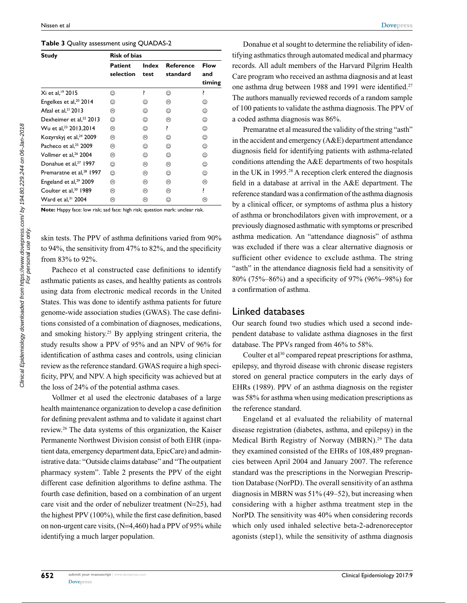|  |  | Table 3 Quality assessment using QUADAS-2 |  |
|--|--|-------------------------------------------|--|
|--|--|-------------------------------------------|--|

| <b>Study</b>                         | <b>Risk of bias</b>         |               |                              |                              |
|--------------------------------------|-----------------------------|---------------|------------------------------|------------------------------|
|                                      | <b>Patient</b><br>selection | Index<br>test | <b>Reference</b><br>standard | <b>Flow</b><br>and<br>timing |
| Xi et al, <sup>19</sup> 2015         | ☺                           | ŗ             | ☺                            | ŗ                            |
| Engelkes et al, <sup>20</sup> 2014   | ☺                           | ☺             | ☺                            | ☺                            |
| Afzal et al. $21$ 2013               | ☺                           | ☺             | ☺                            | ☺                            |
| Dexheimer et al, <sup>22</sup> 2013  | ☺                           | ☺             | ☺                            | ☺                            |
| Wu et al, <sup>23</sup> 2013,2014    | ⊛                           | ☺             | ŗ                            | ☺                            |
| Kozyrskyj et al, <sup>24</sup> 2009  | ⊛                           | ⊛             | ☺                            | ☺                            |
| Pacheco et al. <sup>25</sup> 2009    | ⊛                           | ☺             | ☺                            | ☺                            |
| Vollmer et al, <sup>26</sup> 2004    | ☺                           | ☺             | ☺                            | ☺                            |
| Donahue et al, <sup>27</sup> 1997    | ☺                           | ☺             | ☺                            | ☺                            |
| Premaratne et al, <sup>28</sup> 1997 | ☺                           | ☺             | ☺                            | ☺                            |
| Engeland et al, $^{29}$ 2009         | ⊛                           | ☺             | ☺                            | ☺                            |
| Coulter et al, <sup>30</sup> 1989    | ⊛                           | ⊛             | ☺                            | ŗ                            |
| Ward et al, $31$ 2004                | ☺                           | ⊗             | ☺                            | ☺                            |

**Note:** Happy face: low risk; sad face: high risk; question mark: unclear risk.

skin tests. The PPV of asthma definitions varied from 90% to 94%, the sensitivity from 47% to 82%, and the specificity from 83% to 92%.

Pacheco et al constructed case definitions to identify asthmatic patients as cases, and healthy patients as controls using data from electronic medical records in the United States. This was done to identify asthma patients for future genome-wide association studies (GWAS). The case definitions consisted of a combination of diagnoses, medications, and smoking history.25 By applying stringent criteria, the study results show a PPV of 95% and an NPV of 96% for identification of asthma cases and controls, using clinician review as the reference standard. GWAS require a high specificity, PPV, and NPV. A high specificity was achieved but at the loss of 24% of the potential asthma cases.

Vollmer et al used the electronic databases of a large health maintenance organization to develop a case definition for defining prevalent asthma and to validate it against chart review.26 The data systems of this organization, the Kaiser Permanente Northwest Division consist of both EHR (inpatient data, emergency department data, EpicCare) and administrative data: "Outside claims database" and "The outpatient pharmacy system". Table 2 presents the PPV of the eight different case definition algorithms to define asthma. The fourth case definition, based on a combination of an urgent care visit and the order of nebulizer treatment  $(N=25)$ , had the highest PPV (100%), while the first case definition, based on non-urgent care visits, (N=4,460) had a PPV of 95% while identifying a much larger population.

Donahue et al sought to determine the reliability of identifying asthmatics through automated medical and pharmacy records. All adult members of the Harvard Pilgrim Health Care program who received an asthma diagnosis and at least one asthma drug between 1988 and 1991 were identified.<sup>27</sup> The authors manually reviewed records of a random sample of 100 patients to validate the asthma diagnosis. The PPV of a coded asthma diagnosis was 86%.

Premaratne et al measured the validity of the string "asth" in the accident and emergency (A&E) department attendance diagnosis field for identifying patients with asthma-related conditions attending the A&E departments of two hospitals in the UK in 1995.28 A reception clerk entered the diagnosis field in a database at arrival in the A&E department. The reference standard was a confirmation of the asthma diagnosis by a clinical officer, or symptoms of asthma plus a history of asthma or bronchodilators given with improvement, or a previously diagnosed asthmatic with symptoms or prescribed asthma medication. An "attendance diagnosis" of asthma was excluded if there was a clear alternative diagnosis or sufficient other evidence to exclude asthma. The string "asth" in the attendance diagnosis field had a sensitivity of 80% (75%–86%) and a specificity of 97% (96%–98%) for a confirmation of asthma.

#### Linked databases

Our search found two studies which used a second independent database to validate asthma diagnoses in the first database. The PPVs ranged from 46% to 58%.

Coulter et al<sup>30</sup> compared repeat prescriptions for asthma, epilepsy, and thyroid disease with chronic disease registers stored on general practice computers in the early days of EHRs (1989). PPV of an asthma diagnosis on the register was 58% for asthma when using medication prescriptions as the reference standard.

Engeland et al evaluated the reliability of maternal disease registration (diabetes, asthma, and epilepsy) in the Medical Birth Registry of Norway (MBRN).<sup>29</sup> The data they examined consisted of the EHRs of 108,489 pregnancies between April 2004 and January 2007. The reference standard was the prescriptions in the Norwegian Prescription Database (NorPD). The overall sensitivity of an asthma diagnosis in MBRN was 51% (49–52), but increasing when considering with a higher asthma treatment step in the NorPD. The sensitivity was 40% when considering records which only used inhaled selective beta-2-adrenoreceptor agonists (step1), while the sensitivity of asthma diagnosis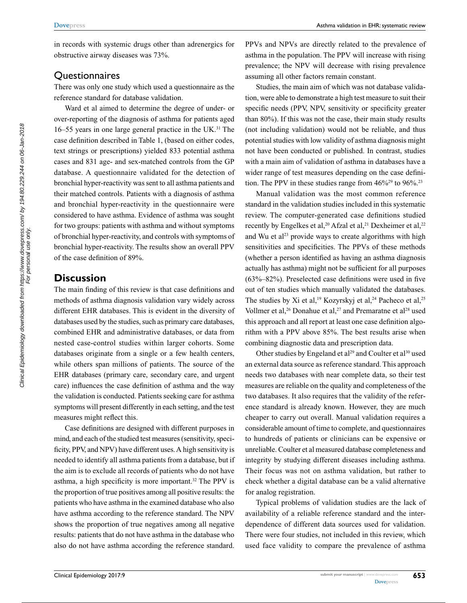in records with systemic drugs other than adrenergics for obstructive airway diseases was 73%.

#### **Questionnaires**

There was only one study which used a questionnaire as the reference standard for database validation.

Ward et al aimed to determine the degree of under- or over-reporting of the diagnosis of asthma for patients aged 16–55 years in one large general practice in the UK.31 The case definition described in Table 1, (based on either codes, text strings or prescriptions) yielded 833 potential asthma cases and 831 age- and sex-matched controls from the GP database. A questionnaire validated for the detection of bronchial hyper-reactivity was sent to all asthma patients and their matched controls. Patients with a diagnosis of asthma and bronchial hyper-reactivity in the questionnaire were considered to have asthma. Evidence of asthma was sought for two groups: patients with asthma and without symptoms of bronchial hyper-reactivity, and controls with symptoms of bronchial hyper-reactivity. The results show an overall PPV of the case definition of 89%.

#### **Discussion**

The main finding of this review is that case definitions and methods of asthma diagnosis validation vary widely across different EHR databases. This is evident in the diversity of databases used by the studies, such as primary care databases, combined EHR and administrative databases, or data from nested case-control studies within larger cohorts. Some databases originate from a single or a few health centers, while others span millions of patients. The source of the EHR databases (primary care, secondary care, and urgent care) influences the case definition of asthma and the way the validation is conducted. Patients seeking care for asthma symptoms will present differently in each setting, and the test measures might reflect this.

Case definitions are designed with different purposes in mind, and each of the studied test measures (sensitivity, specificity, PPV, and NPV) have different uses. A high sensitivity is needed to identify all asthma patients from a database, but if the aim is to exclude all records of patients who do not have asthma, a high specificity is more important.<sup>32</sup> The PPV is the proportion of true positives among all positive results: the patients who have asthma in the examined database who also have asthma according to the reference standard. The NPV shows the proportion of true negatives among all negative results: patients that do not have asthma in the database who also do not have asthma according the reference standard.

PPVs and NPVs are directly related to the prevalence of asthma in the population. The PPV will increase with rising prevalence; the NPV will decrease with rising prevalence assuming all other factors remain constant.

Studies, the main aim of which was not database validation, were able to demonstrate a high test measure to suit their specific needs (PPV, NPV, sensitivity or specificity greater than 80%). If this was not the case, their main study results (not including validation) would not be reliable, and thus potential studies with low validity of asthma diagnosis might not have been conducted or published. In contrast, studies with a main aim of validation of asthma in databases have a wider range of test measures depending on the case definition. The PPV in these studies range from 46%<sup>29</sup> to 96%<sup>23</sup>

Manual validation was the most common reference standard in the validation studies included in this systematic review. The computer-generated case definitions studied recently by Engelkes et al,<sup>20</sup> Afzal et al,<sup>21</sup> Dexheimer et al,<sup>22</sup> and Wu et  $al^{23}$  provide ways to create algorithms with high sensitivities and specificities. The PPVs of these methods (whether a person identified as having an asthma diagnosis actually has asthma) might not be sufficient for all purposes (63%–82%). Preselected case definitions were used in five out of ten studies which manually validated the databases. The studies by Xi et al,<sup>19</sup> Kozyrskyj et al,<sup>24</sup> Pacheco et al,<sup>25</sup> Vollmer et al,<sup>26</sup> Donahue et al,<sup>27</sup> and Premaratne et al<sup>28</sup> used this approach and all report at least one case definition algorithm with a PPV above 85%. The best results arise when combining diagnostic data and prescription data.

Other studies by Engeland et al<sup>29</sup> and Coulter et al<sup>30</sup> used an external data source as reference standard. This approach needs two databases with near complete data, so their test measures are reliable on the quality and completeness of the two databases. It also requires that the validity of the reference standard is already known. However, they are much cheaper to carry out overall. Manual validation requires a considerable amount of time to complete, and questionnaires to hundreds of patients or clinicians can be expensive or unreliable. Coulter et al measured database completeness and integrity by studying different diseases including asthma. Their focus was not on asthma validation, but rather to check whether a digital database can be a valid alternative for analog registration.

Typical problems of validation studies are the lack of availability of a reliable reference standard and the interdependence of different data sources used for validation. There were four studies, not included in this review, which used face validity to compare the prevalence of asthma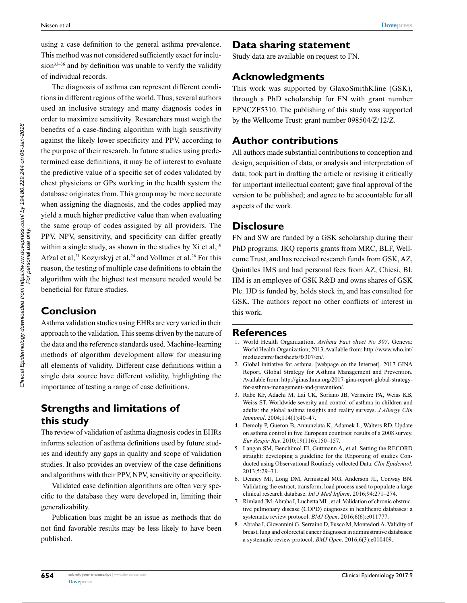using a case definition to the general asthma prevalence. This method was not considered sufficiently exact for inclu $sion<sup>33–36</sup>$  and by definition was unable to verify the validity of individual records.

The diagnosis of asthma can represent different conditions in different regions of the world. Thus, several authors used an inclusive strategy and many diagnosis codes in order to maximize sensitivity. Researchers must weigh the benefits of a case-finding algorithm with high sensitivity against the likely lower specificity and PPV, according to the purpose of their research. In future studies using predetermined case definitions, it may be of interest to evaluate the predictive value of a specific set of codes validated by chest physicians or GPs working in the health system the database originates from. This group may be more accurate when assigning the diagnosis, and the codes applied may yield a much higher predictive value than when evaluating the same group of codes assigned by all providers. The PPV, NPV, sensitivity, and specificity can differ greatly within a single study, as shown in the studies by  $Xi$  et al,<sup>19</sup> Afzal et al,<sup>21</sup> Kozyrskyj et al,<sup>24</sup> and Vollmer et al.<sup>26</sup> For this reason, the testing of multiple case definitions to obtain the algorithm with the highest test measure needed would be beneficial for future studies.

## **Conclusion**

Asthma validation studies using EHRs are very varied in their approach to the validation. This seems driven by the nature of the data and the reference standards used. Machine-learning methods of algorithm development allow for measuring all elements of validity. Different case definitions within a single data source have different validity, highlighting the importance of testing a range of case definitions.

# **Strengths and limitations of this study**

The review of validation of asthma diagnosis codes in EHRs informs selection of asthma definitions used by future studies and identify any gaps in quality and scope of validation studies. It also provides an overview of the case definitions and algorithms with their PPV, NPV, sensitivity or specificity.

Validated case definition algorithms are often very specific to the database they were developed in, limiting their generalizability.

Publication bias might be an issue as methods that do not find favorable results may be less likely to have been published.

#### **Data sharing statement**

Study data are available on request to FN.

#### **Acknowledgments**

This work was supported by GlaxoSmithKline (GSK), through a PhD scholarship for FN with grant number EPNCZF5310. The publishing of this study was supported by the Wellcome Trust: grant number 098504/Z/12/Z.

### **Author contributions**

All authors made substantial contributions to conception and design, acquisition of data, or analysis and interpretation of data; took part in drafting the article or revising it critically for important intellectual content; gave final approval of the version to be published; and agree to be accountable for all aspects of the work.

#### **Disclosure**

FN and SW are funded by a GSK scholarship during their PhD programs. JKQ reports grants from MRC, BLF, Wellcome Trust, and has received research funds from GSK, AZ, Quintiles IMS and had personal fees from AZ, Chiesi, BI. HM is an employee of GSK R&D and owns shares of GSK Plc. IJD is funded by, holds stock in, and has consulted for GSK. The authors report no other conflicts of interest in this work.

#### **References**

- 1. World Health Organization. *Asthma Fact sheet No 307*. Geneva: World Health Organization; 2013.Available from: http://www.who.int/ mediacentre/factsheets/fs307/en/.
- 2. Global initiative for asthma. [webpage on the Internet]. 2017 GINA Report, Global Strategy for Asthma Management and Prevention. Available from: http://ginasthma.org/2017-gina-report-global-strategyfor-asthma-management-and-prevention/.
- 3. Rabe KF, Adachi M, Lai CK, Soriano JB, Vermeire PA, Weiss KB, Weiss ST. Worldwide severity and control of asthma in children and adults: the global asthma insights and reality surveys. *J Allergy Clin Immunol*. 2004;114(1):40–47.
- 4. Demoly P, Gueron B, Annunziata K, Adamek L, Walters RD. Update on asthma control in five European countries: results of a 2008 survey. *Eur Respir Rev.* 2010;19(116):150–157.
- 5. Langan SM, Benchimol EI, Guttmann A, et al. Setting the RECORD straight: developing a guideline for the REporting of studies Conducted using Observational Routinely collected Data. *Clin Epidemiol.* 2013;5:29–31.
- 6. Denney MJ, Long DM, Armistead MG, Anderson JL, Conway BN. Validating the extract, transform, load process used to populate a large clinical research database. *Int J Med Inform*. 2016;94:271–274.
- 7. Rimland JM, Abraha I, Luchetta ML, et al. Validation of chronic obstructive pulmonary disease (COPD) diagnoses in healthcare databases: a systematic review protocol. *BMJ Open*. 2016;6(6):e011777.
- 8. Abraha I, Giovannini G, Serraino D, Fusco M, Montedori A. Validity of breast, lung and colorectal cancer diagnoses in administrative databases: a systematic review protocol. *BMJ Open.* 2016;6(3):e010409.

**654**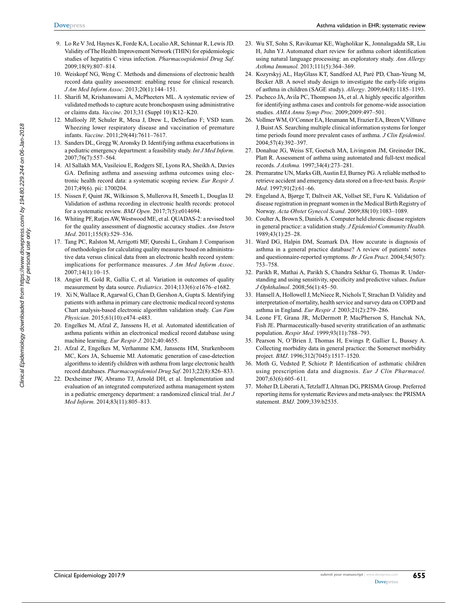- 9. Lo Re V 3rd, Haynes K, Forde KA, Localio AR, Schinnar R, Lewis JD. Validity of The Health Improvement Network (THIN) for epidemiologic studies of hepatitis C virus infection. *Pharmacoepidemiol Drug Saf*. 2009;18(9):807–814.
- 10. Weiskopf NG, Weng C. Methods and dimensions of electronic health record data quality assessment: enabling reuse for clinical research. *J Am Med Inform Assoc*. 2013;20(1):144–151.
- 11. Sharifi M, Krishanswami A, McPheeters ML. A systematic review of validated methods to capture acute bronchospasm using administrative or claims data. *Vaccine*. 2013;31 (Suppl 10):K12–K20.
- 12. Mullooly JP, Schuler R, Mesa J, Drew L, DeStefano F; VSD team. Wheezing lower respiratory disease and vaccination of premature infants. *Vaccine*. 2011;29(44):7611–7617.
- 13. Sanders DL, Gregg W, Aronsky D. Identifying asthma exacerbations in a pediatric emergency department: a feasibility study. *Int J Med Inform*. 2007;76(7):557–564.
- 14. Al Sallakh MA, Vasileiou E, Rodgers SE, Lyons RA, Sheikh A, Davies GA. Defining asthma and assessing asthma outcomes using electronic health record data: a systematic scoping review. *Eur Respir J*. 2017;49(6). pii: 1700204.
- 15. Nissen F, Quint JK, Wilkinson S, Mullerova H, Smeeth L, Douglas IJ. Validation of asthma recording in electronic health records: protocol for a systematic review. *BMJ Open*. 2017;7(5):e014694.
- 16. Whiting PF, Rutjes AW, Westwood ME, et al. QUADAS-2: a revised tool for the quality assessment of diagnostic accuracy studies. *Ann Intern Med*. 2011;155(8):529–536.
- 17. Tang PC, Ralston M, Arrigotti MF, Qureshi L, Graham J. Comparison of methodologies for calculating quality measures based on administrative data versus clinical data from an electronic health record system: implications for performance measures. *J Am Med Inform Assoc*. 2007;14(1):10–15.
- 18. Angier H, Gold R, Gallia C, et al. Variation in outcomes of quality measurement by data source. *Pediatrics*. 2014;133(6):e1676–e1682.
- 19. Xi N, Wallace R, Agarwal G, Chan D, Gershon A, Gupta S. Identifying patients with asthma in primary care electronic medical record systems Chart analysis-based electronic algorithm validation study. *Can Fam Physician*. 2015;61(10):e474–e483.
- 20. Engelkes M, Afzal Z, Janssens H, et al. Automated identification of asthma patients within an electronical medical record database using machine learning. *Eur Respir J.* 2012;40:4655.
- 21. Afzal Z, Engelkes M, Verhamme KM, Janssens HM, Sturkenboom MC, Kors JA, Schuemie MJ. Automatic generation of case-detection algorithms to identify children with asthma from large electronic health record databases. *Pharmacoepidemiol Drug Saf*. 2013;22(8):826–833.
- 22. Dexheimer JW, Abramo TJ, Arnold DH, et al. Implementation and evaluation of an integrated computerized asthma management system in a pediatric emergency department: a randomized clinical trial. *Int J Med Inform.* 2014;83(11):805–813.
- 23. Wu ST, Sohn S, Ravikumar KE, Wagholikar K, Jonnalagadda SR, Liu H, Juhn YJ. Automated chart review for asthma cohort identification using natural language processing: an exploratory study. *Ann Allergy Asthma Immunol.* 2013;111(5):364–369.
- 24. Kozyrskyj AL, HayGlass KT, Sandford AJ, Paré PD, Chan-Yeung M, Becker AB. A novel study design to investigate the early-life origins of asthma in children (SAGE study). *Allergy*. 2009;64(8):1185–1193.
- 25. Pacheco JA, Avila PC, Thompson JA, et al. A highly specific algorithm for identifying asthma cases and controls for genome-wide association studies. *AMIA Annu Symp Proc.* 2009;2009:497–501.
- 26. Vollmer WM, O'Connor EA, Heumann M, Frazier EA, Breen V, Villnave J, Buist AS. Searching multiple clinical information systems for longer time periods found more prevalent cases of asthma. *J Clin Epidemiol*. 2004;57(4):392–397.
- 27. Donahue JG, Weiss ST, Goetsch MA, Livingston JM, Greineder DK, Platt R. Assessment of asthma using automated and full-text medical records. *J Asthma.* 1997;34(4):273–281.
- 28. Premaratne UN, Marks GB, Austin EJ, Burney PG. A reliable method to retrieve accident and emergency data stored on a free-text basis. *Respir Med.* 1997;91(2):61–66.
- 29. Engeland A, Bjørge T, Daltveit AK, Vollset SE, Furu K. Validation of disease registration in pregnant women in the Medical Birth Registry of Norway. *Acta Obstet Gynecol Scand*. 2009;88(10):1083–1089.
- 30. Coulter A, Brown S, Daniels A. Computer held chronic disease registers in general practice: a validation study. *J Epidemiol Community Health.* 1989;43(1):25–28.
- 31. Ward DG, Halpin DM, Seamark DA. How accurate is diagnosis of asthma in a general practice database? A review of patients' notes and questionnaire-reported symptoms. *Br J Gen Pract.* 2004;54(507): 753–758.
- 32. Parikh R, Mathai A, Parikh S, Chandra Sekhar G, Thomas R. Understanding and using sensitivity, specificity and predictive values. *Indian J Ophthalmol*. 2008;56(1):45–50.
- 33. Hansell A, Hollowell J, McNiece R, Nichols T, Strachan D. Validity and interpretation of mortality, health service and survey data on COPD and asthma in England. *Eur Respir J.* 2003;21(2):279–286.
- 34. Leone FT, Grana JR, McDermott P, MacPherson S, Hanchak NA, Fish JE. Pharmaceutically-based severity stratification of an asthmatic population. *Respir Med*. 1999;93(11):788–793.
- 35. Pearson N, O'Brien J, Thomas H, Ewings P, Gallier L, Bussey A. Collecting morbidity data in general practice: the Somerset morbidity project. *BMJ*. 1996;312(7045):1517–1520.
- 36. Moth G, Vedsted P, Schiotz P. Identification of asthmatic children using prescription data and diagnosis. *Eur J Clin Pharmacol.* 2007;63(6):605–611.
- 37. Moher D, Liberati A, Tetzlaff J, Altman DG, PRISMA Group. Preferred reporting items for systematic Reviews and meta-analyses: the PRISMA statement. *BMJ*. 2009;339:b2535.